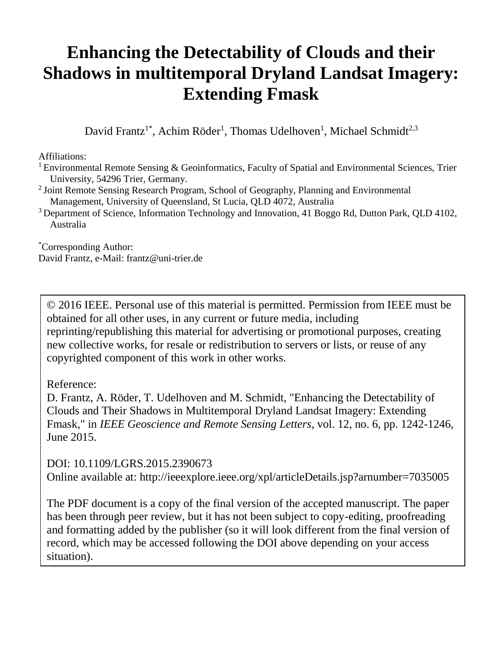# **Enhancing the Detectability of Clouds and their Shadows in multitemporal Dryland Landsat Imagery: Extending Fmask**

David Frantz<sup>1\*</sup>, Achim Röder<sup>1</sup>, Thomas Udelhoven<sup>1</sup>, Michael Schmidt<sup>2,3</sup>

Affiliations:

<sup>1</sup> Environmental Remote Sensing  $\&$  Geoinformatics, Faculty of Spatial and Environmental Sciences, Trier University, 54296 Trier, Germany.

- <sup>2</sup> Joint Remote Sensing Research Program, School of Geography, Planning and Environmental Management, University of Queensland, St Lucia, QLD 4072, Australia
- <sup>3</sup> Department of Science, Information Technology and Innovation, 41 Boggo Rd, Dutton Park, OLD 4102, Australia

\*Corresponding Author: David Frantz, e-Mail: frantz@uni-trier.de

© 2016 IEEE. Personal use of this material is permitted. Permission from IEEE must be obtained for all other uses, in any current or future media, including reprinting/republishing this material for advertising or promotional purposes, creating new collective works, for resale or redistribution to servers or lists, or reuse of any copyrighted component of this work in other works.

Reference:

D. Frantz, A. Röder, T. Udelhoven and M. Schmidt, "Enhancing the Detectability of Clouds and Their Shadows in Multitemporal Dryland Landsat Imagery: Extending Fmask," in *IEEE Geoscience and Remote Sensing Letters*, vol. 12, no. 6, pp. 1242-1246, June 2015.

DOI: 10.1109/LGRS.2015.2390673 Online available at: http://ieeexplore.ieee.org/xpl/articleDetails.jsp?arnumber=7035005

The PDF document is a copy of the final version of the accepted manuscript. The paper has been through peer review, but it has not been subject to copy-editing, proofreading and formatting added by the publisher (so it will look different from the final version of record, which may be accessed following the DOI above depending on your access situation).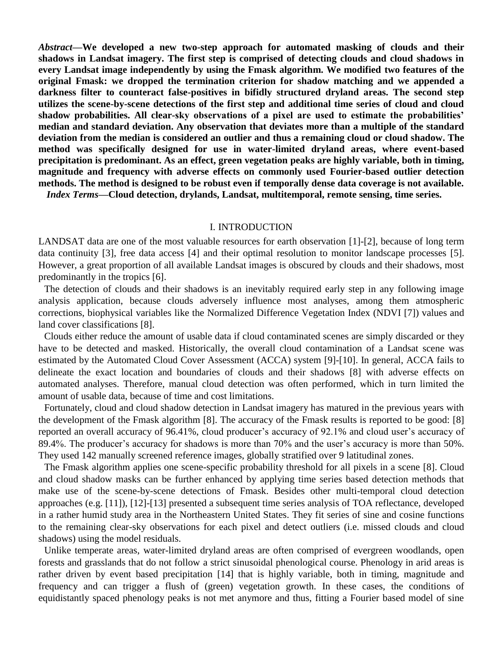*Abstract***—We developed a new two-step approach for automated masking of clouds and their shadows in Landsat imagery. The first step is comprised of detecting clouds and cloud shadows in every Landsat image independently by using the Fmask algorithm. We modified two features of the original Fmask: we dropped the termination criterion for shadow matching and we appended a darkness filter to counteract false-positives in bifidly structured dryland areas. The second step utilizes the scene-by-scene detections of the first step and additional time series of cloud and cloud shadow probabilities. All clear-sky observations of a pixel are used to estimate the probabilities' median and standard deviation. Any observation that deviates more than a multiple of the standard deviation from the median is considered an outlier and thus a remaining cloud or cloud shadow. The method was specifically designed for use in water-limited dryland areas, where event-based precipitation is predominant. As an effect, green vegetation peaks are highly variable, both in timing, magnitude and frequency with adverse effects on commonly used Fourier-based outlier detection methods. The method is designed to be robust even if temporally dense data coverage is not available.** *Index Terms***—Cloud detection, drylands, Landsat, multitemporal, remote sensing, time series.**

## I. INTRODUCTION

LANDSAT data are one of the most valuable resources for earth observation [\[1\]](#page-8-0)[-\[2\],](#page-8-1) because of long term data continuity [\[3\],](#page-8-2) free data access [\[4\]](#page-8-3) and their optimal resolution to monitor landscape processes [\[5\].](#page-8-4) However, a great proportion of all available Landsat images is obscured by clouds and their shadows, most predominantly in the tropics [\[6\].](#page-8-5)

The detection of clouds and their shadows is an inevitably required early step in any following image analysis application, because clouds adversely influence most analyses, among them atmospheric corrections, biophysical variables like the Normalized Difference Vegetation Index (NDVI [\[7\]\)](#page-8-6) values and land cover classifications [\[8\].](#page-8-7)

Clouds either reduce the amount of usable data if cloud contaminated scenes are simply discarded or they have to be detected and masked. Historically, the overall cloud contamination of a Landsat scene was estimated by the Automated Cloud Cover Assessment (ACCA) system [\[9\]](#page-8-8)[-\[10\].](#page-8-9) In general, ACCA fails to delineate the exact location and boundaries of clouds and their shadows [\[8\]](#page-8-7) with adverse effects on automated analyses. Therefore, manual cloud detection was often performed, which in turn limited the amount of usable data, because of time and cost limitations.

Fortunately, cloud and cloud shadow detection in Landsat imagery has matured in the previous years with the development of the Fmask algorithm [\[8\].](#page-8-7) The accuracy of the Fmask results is reported to be good: [\[8\]](#page-8-7) reported an overall accuracy of 96.41%, cloud producer's accuracy of 92.1% and cloud user's accuracy of 89.4%. The producer's accuracy for shadows is more than 70% and the user's accuracy is more than 50%. They used 142 manually screened reference images, globally stratified over 9 latitudinal zones.

The Fmask algorithm applies one scene-specific probability threshold for all pixels in a scene [\[8\].](#page-8-7) Cloud and cloud shadow masks can be further enhanced by applying time series based detection methods that make use of the scene-by-scene detections of Fmask. Besides other multi-temporal cloud detection approaches (e.g. [\[11\]\)](#page-8-10), [\[12\]](#page-8-11)[-\[13\]](#page-8-12) presented a subsequent time series analysis of TOA reflectance, developed in a rather humid study area in the Northeastern United States. They fit series of sine and cosine functions to the remaining clear-sky observations for each pixel and detect outliers (i.e. missed clouds and cloud shadows) using the model residuals.

Unlike temperate areas, water-limited dryland areas are often comprised of evergreen woodlands, open forests and grasslands that do not follow a strict sinusoidal phenological course. Phenology in arid areas is rather driven by event based precipitation [\[14\]](#page-8-13) that is highly variable, both in timing, magnitude and frequency and can trigger a flush of (green) vegetation growth. In these cases, the conditions of equidistantly spaced phenology peaks is not met anymore and thus, fitting a Fourier based model of sine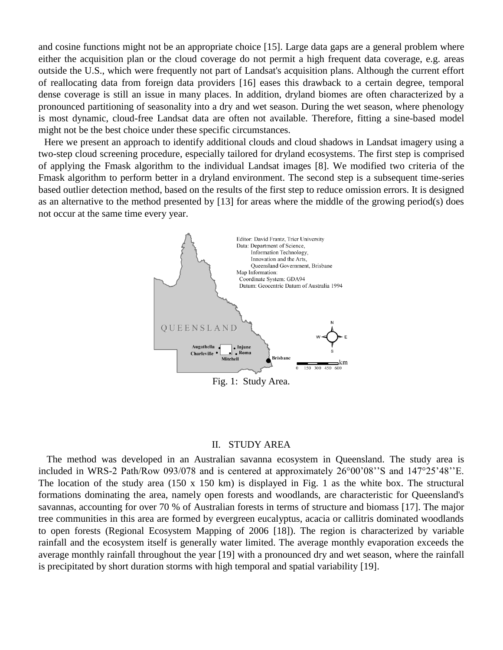and cosine functions might not be an appropriate choice [\[15\].](#page-8-14) Large data gaps are a general problem where either the acquisition plan or the cloud coverage do not permit a high frequent data coverage, e.g. areas outside the U.S., which were frequently not part of Landsat's acquisition plans. Although the current effort of reallocating data from foreign data providers [\[16\]](#page-8-15) eases this drawback to a certain degree, temporal dense coverage is still an issue in many places. In addition, dryland biomes are often characterized by a pronounced partitioning of seasonality into a dry and wet season. During the wet season, where phenology is most dynamic, cloud-free Landsat data are often not available. Therefore, fitting a sine-based model might not be the best choice under these specific circumstances.

Here we present an approach to identify additional clouds and cloud shadows in Landsat imagery using a two-step cloud screening procedure, especially tailored for dryland ecosystems. The first step is comprised of applying the Fmask algorithm to the individual Landsat images [\[8\].](#page-8-7) We modified two criteria of the Fmask algorithm to perform better in a dryland environment. The second step is a subsequent time-series based outlier detection method, based on the results of the first step to reduce omission errors. It is designed as an alternative to the method presented by [\[13\]](#page-8-12) for areas where the middle of the growing period(s) does not occur at the same time every year.



### II. STUDY AREA

<span id="page-2-0"></span>The method was developed in an Australian savanna ecosystem in Queensland. The study area is included in WRS-2 Path/Row 093/078 and is centered at approximately 26°00'08''S and 147°25'48''E. The location of the study area (150 x 150 km) is displayed in [Fig. 1](#page-2-0) as the white box. The structural formations dominating the area, namely open forests and woodlands, are characteristic for Queensland's savannas, accounting for over 70 % of Australian forests in terms of structure and biomass [\[17\].](#page-8-16) The major tree communities in this area are formed by evergreen eucalyptus, acacia or callitris dominated woodlands to open forests (Regional Ecosystem Mapping of 2006 [\[18\]\)](#page-8-17). The region is characterized by variable rainfall and the ecosystem itself is generally water limited. The average monthly evaporation exceeds the average monthly rainfall throughout the year [\[19\]](#page-8-18) with a pronounced dry and wet season, where the rainfall is precipitated by short duration storms with high temporal and spatial variability [\[19\].](#page-8-18)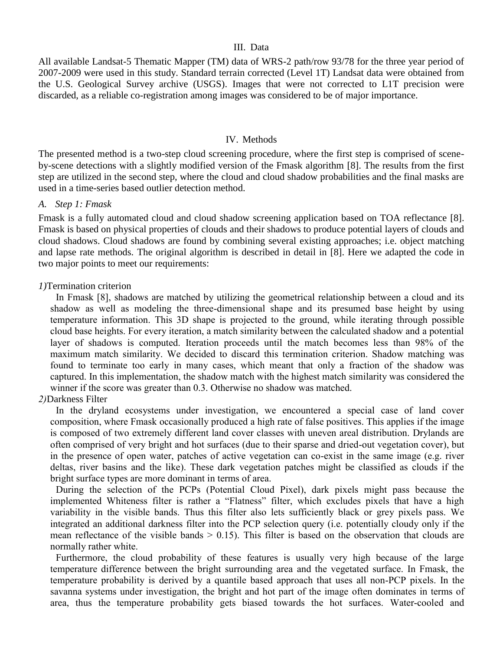# III. Data

All available Landsat-5 Thematic Mapper (TM) data of WRS-2 path/row 93/78 for the three year period of 2007-2009 were used in this study. Standard terrain corrected (Level 1T) Landsat data were obtained from the U.S. Geological Survey archive (USGS). Images that were not corrected to L1T precision were discarded, as a reliable co-registration among images was considered to be of major importance.

# IV. Methods

The presented method is a two-step cloud screening procedure, where the first step is comprised of sceneby-scene detections with a slightly modified version of the Fmask algorithm [\[8\].](#page-8-7) The results from the first step are utilized in the second step, where the cloud and cloud shadow probabilities and the final masks are used in a time-series based outlier detection method.

# *A. Step 1: Fmask*

Fmask is a fully automated cloud and cloud shadow screening application based on TOA reflectance [\[8\].](#page-8-7) Fmask is based on physical properties of clouds and their shadows to produce potential layers of clouds and cloud shadows. Cloud shadows are found by combining several existing approaches; i.e. object matching and lapse rate methods. The original algorithm is described in detail in [\[8\].](#page-8-7) Here we adapted the code in two major points to meet our requirements:

# *1)*Termination criterion

In Fmask [\[8\],](#page-8-7) shadows are matched by utilizing the geometrical relationship between a cloud and its shadow as well as modeling the three-dimensional shape and its presumed base height by using temperature information. This 3D shape is projected to the ground, while iterating through possible cloud base heights. For every iteration, a match similarity between the calculated shadow and a potential layer of shadows is computed. Iteration proceeds until the match becomes less than 98% of the maximum match similarity. We decided to discard this termination criterion. Shadow matching was found to terminate too early in many cases, which meant that only a fraction of the shadow was captured. In this implementation, the shadow match with the highest match similarity was considered the winner if the score was greater than 0.3. Otherwise no shadow was matched.

# *2)*Darkness Filter

In the dryland ecosystems under investigation, we encountered a special case of land cover composition, where Fmask occasionally produced a high rate of false positives. This applies if the image is composed of two extremely different land cover classes with uneven areal distribution. Drylands are often comprised of very bright and hot surfaces (due to their sparse and dried-out vegetation cover), but in the presence of open water, patches of active vegetation can co-exist in the same image (e.g. river deltas, river basins and the like). These dark vegetation patches might be classified as clouds if the bright surface types are more dominant in terms of area.

During the selection of the PCPs (Potential Cloud Pixel), dark pixels might pass because the implemented Whiteness filter is rather a "Flatness" filter, which excludes pixels that have a high variability in the visible bands. Thus this filter also lets sufficiently black or grey pixels pass. We integrated an additional darkness filter into the PCP selection query (i.e. potentially cloudy only if the mean reflectance of the visible bands  $> 0.15$ ). This filter is based on the observation that clouds are normally rather white.

Furthermore, the cloud probability of these features is usually very high because of the large temperature difference between the bright surrounding area and the vegetated surface. In Fmask, the temperature probability is derived by a quantile based approach that uses all non-PCP pixels. In the savanna systems under investigation, the bright and hot part of the image often dominates in terms of area, thus the temperature probability gets biased towards the hot surfaces. Water-cooled and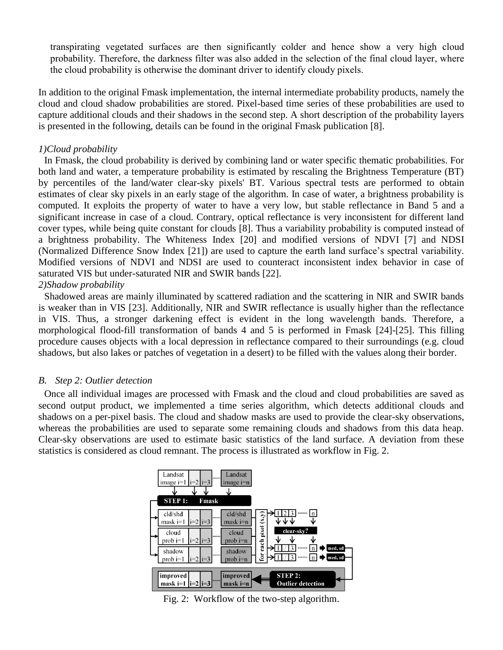transpirating vegetated surfaces are then significantly colder and hence show a very high cloud probability. Therefore, the darkness filter was also added in the selection of the final cloud layer, where the cloud probability is otherwise the dominant driver to identify cloudy pixels.

In addition to the original Fmask implementation, the internal intermediate probability products, namely the cloud and cloud shadow probabilities are stored. Pixel-based time series of these probabilities are used to capture additional clouds and their shadows in the second step. A short description of the probability layers is presented in the following, details can be found in the original Fmask publication [\[8\].](#page-8-7)

# *1)Cloud probability*

In Fmask, the cloud probability is derived by combining land or water specific thematic probabilities. For both land and water, a temperature probability is estimated by rescaling the Brightness Temperature (BT) by percentiles of the land/water clear-sky pixels' BT. Various spectral tests are performed to obtain estimates of clear sky pixels in an early stage of the algorithm. In case of water, a brightness probability is computed. It exploits the property of water to have a very low, but stable reflectance in Band 5 and a significant increase in case of a cloud. Contrary, optical reflectance is very inconsistent for different land cover types, while being quite constant for clouds [\[8\].](#page-8-7) Thus a variability probability is computed instead of a brightness probability. The Whiteness Index [\[20\]](#page-8-19) and modified versions of NDVI [\[7\]](#page-8-6) and NDSI (Normalized Difference Snow Index [\[21\]\)](#page-8-20) are used to capture the earth land surface's spectral variability. Modified versions of NDVI and NDSI are used to counteract inconsistent index behavior in case of saturated VIS but under-saturated NIR and SWIR bands [\[22\].](#page-8-21)

# *2)Shadow probability*

Shadowed areas are mainly illuminated by scattered radiation and the scattering in NIR and SWIR bands is weaker than in VIS [\[23\].](#page-8-22) Additionally, NIR and SWIR reflectance is usually higher than the reflectance in VIS. Thus, a stronger darkening effect is evident in the long wavelength bands. Therefore, a morphological flood-fill transformation of bands 4 and 5 is performed in Fmask [\[24\]](#page-8-23)[-\[25\].](#page-8-24) This filling procedure causes objects with a local depression in reflectance compared to their surroundings (e.g. cloud shadows, but also lakes or patches of vegetation in a desert) to be filled with the values along their border.

# *B. Step 2: Outlier detection*

Once all individual images are processed with Fmask and the cloud and cloud probabilities are saved as second output product, we implemented a time series algorithm, which detects additional clouds and shadows on a per-pixel basis. The cloud and shadow masks are used to provide the clear-sky observations, whereas the probabilities are used to separate some remaining clouds and shadows from this data heap. Clear-sky observations are used to estimate basic statistics of the land surface. A deviation from these statistics is considered as cloud remnant. The process is illustrated as workflow in [Fig. 2.](#page-4-0)



<span id="page-4-0"></span>Fig. 2: Workflow of the two-step algorithm.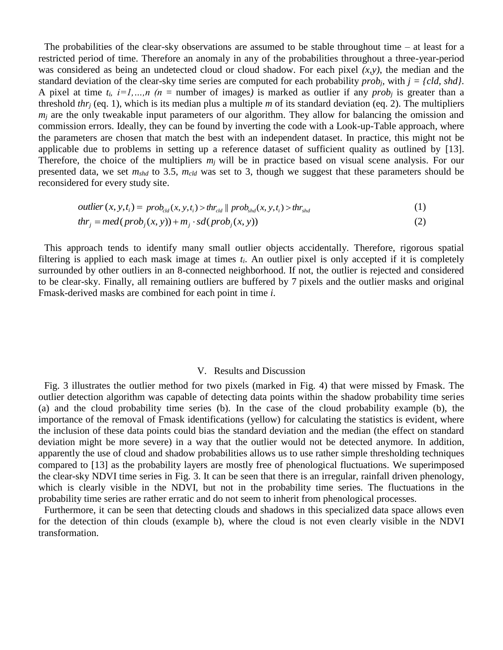The probabilities of the clear-sky observations are assumed to be stable throughout time  $-$  at least for a restricted period of time. Therefore an anomaly in any of the probabilities throughout a three-year-period was considered as being an undetected cloud or cloud shadow. For each pixel *(x,y)*, the median and the standard deviation of the clear-sky time series are computed for each probability *probj,* with *j = {cld, shd}*. A pixel at time  $t_i$ ,  $i=1,...,n$  ( $n =$  number of images) is marked as outlier if any *prob<sub>i</sub>* is greater than a threshold *thr<sup>j</sup>* (eq. 1), which is its median plus a multiple *m* of its standard deviation (eq. 2). The multipliers  $m<sub>i</sub>$  are the only tweakable input parameters of our algorithm. They allow for balancing the omission and commission errors. Ideally, they can be found by inverting the code with a Look-up-Table approach, where the parameters are chosen that match the best with an independent dataset. In practice, this might not be applicable due to problems in setting up a reference dataset of sufficient quality as outlined by [\[13\].](#page-8-12) Therefore, the choice of the multipliers  $m<sub>j</sub>$  will be in practice based on visual scene analysis. For our presented data, we set *mshd* to 3.5, *mcld* was set to 3, though we suggest that these parameters should be reconsidered for every study site.

*outlier* 
$$
(x, y, t_i) = prob_{cld}(x, y, t_i) > thr_{cld} || prob_{shd}(x, y, t_i) > thr_{shd}
$$
 (1)

$$
thr_j = med(prob_j(x, y)) + m_j \cdot sd(prob_j(x, y))
$$
\n(2)

This approach tends to identify many small outlier objects accidentally. Therefore, rigorous spatial filtering is applied to each mask image at times *ti*. An outlier pixel is only accepted if it is completely surrounded by other outliers in an 8-connected neighborhood. If not, the outlier is rejected and considered to be clear-sky. Finally, all remaining outliers are buffered by 7 pixels and the outlier masks and original Fmask-derived masks are combined for each point in time *i*.

## V. Results and Discussion

Fig. 3 illustrates the outlier method for two pixels (marked in [Fig. 4\)](#page-6-0) that were missed by Fmask. The outlier detection algorithm was capable of detecting data points within the shadow probability time series (a) and the cloud probability time series (b). In the case of the cloud probability example (b), the importance of the removal of Fmask identifications (yellow) for calculating the statistics is evident, where the inclusion of these data points could bias the standard deviation and the median (the effect on standard deviation might be more severe) in a way that the outlier would not be detected anymore. In addition, apparently the use of cloud and shadow probabilities allows us to use rather simple thresholding techniques compared to [\[13\]](#page-8-12) as the probability layers are mostly free of phenological fluctuations. We superimposed the clear-sky NDVI time series in [Fig. 3.](#page-6-1) It can be seen that there is an irregular, rainfall driven phenology, which is clearly visible in the NDVI, but not in the probability time series. The fluctuations in the probability time series are rather erratic and do not seem to inherit from phenological processes.

Furthermore, it can be seen that detecting clouds and shadows in this specialized data space allows even for the detection of thin clouds (example b), where the cloud is not even clearly visible in the NDVI transformation.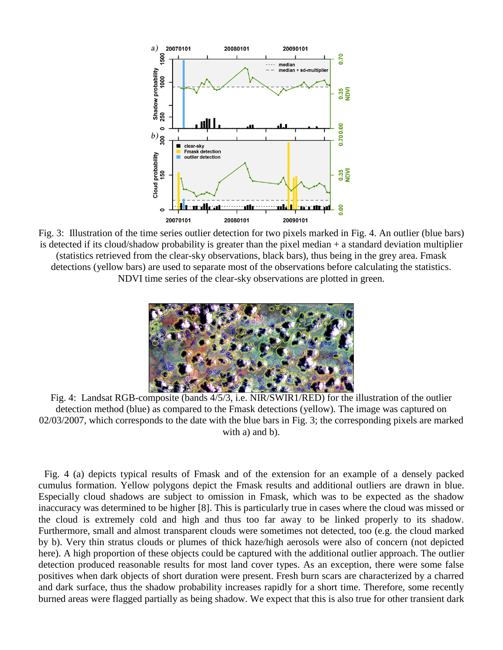

<span id="page-6-1"></span>Fig. 3: Illustration of the time series outlier detection for two pixels marked in [Fig. 4.](#page-6-0) An outlier (blue bars) is detected if its cloud/shadow probability is greater than the pixel median + a standard deviation multiplier (statistics retrieved from the clear-sky observations, black bars), thus being in the grey area. Fmask detections (yellow bars) are used to separate most of the observations before calculating the statistics. NDVI time series of the clear-sky observations are plotted in green.



Fig. 4: Landsat RGB-composite (bands 4/5/3, i.e. NIR/SWIR1/RED) for the illustration of the outlier detection method (blue) as compared to the Fmask detections (yellow). The image was captured on 02/03/2007, which corresponds to the date with the blue bars in [Fig. 3;](#page-6-1) the corresponding pixels are marked with a) and b).

<span id="page-6-0"></span>Fig. 4 (a) depicts typical results of Fmask and of the extension for an example of a densely packed cumulus formation. Yellow polygons depict the Fmask results and additional outliers are drawn in blue. Especially cloud shadows are subject to omission in Fmask, which was to be expected as the shadow inaccuracy was determined to be higher [\[8\].](#page-8-7) This is particularly true in cases where the cloud was missed or the cloud is extremely cold and high and thus too far away to be linked properly to its shadow. Furthermore, small and almost transparent clouds were sometimes not detected, too (e.g. the cloud marked by b). Very thin stratus clouds or plumes of thick haze/high aerosols were also of concern (not depicted here). A high proportion of these objects could be captured with the additional outlier approach. The outlier detection produced reasonable results for most land cover types. As an exception, there were some false positives when dark objects of short duration were present. Fresh burn scars are characterized by a charred and dark surface, thus the shadow probability increases rapidly for a short time. Therefore, some recently burned areas were flagged partially as being shadow. We expect that this is also true for other transient dark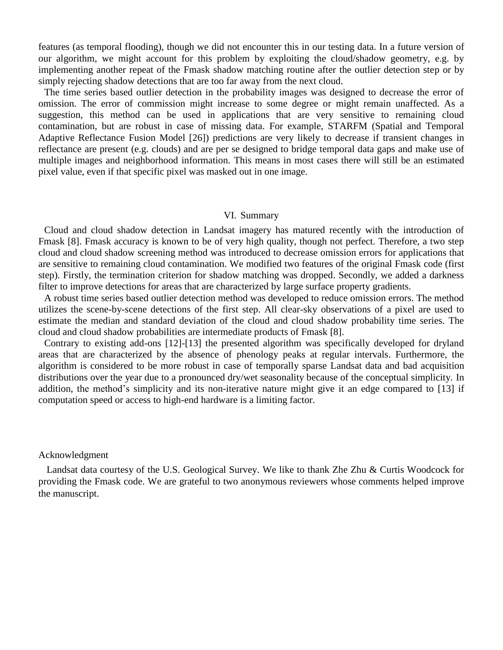features (as temporal flooding), though we did not encounter this in our testing data. In a future version of our algorithm, we might account for this problem by exploiting the cloud/shadow geometry, e.g. by implementing another repeat of the Fmask shadow matching routine after the outlier detection step or by simply rejecting shadow detections that are too far away from the next cloud.

The time series based outlier detection in the probability images was designed to decrease the error of omission. The error of commission might increase to some degree or might remain unaffected. As a suggestion, this method can be used in applications that are very sensitive to remaining cloud contamination, but are robust in case of missing data. For example, STARFM (Spatial and Temporal Adaptive Reflectance Fusion Model [\[26\]\)](#page-8-25) predictions are very likely to decrease if transient changes in reflectance are present (e.g. clouds) and are per se designed to bridge temporal data gaps and make use of multiple images and neighborhood information. This means in most cases there will still be an estimated pixel value, even if that specific pixel was masked out in one image.

## VI. Summary

Cloud and cloud shadow detection in Landsat imagery has matured recently with the introduction of Fmask [\[8\].](#page-8-7) Fmask accuracy is known to be of very high quality, though not perfect. Therefore, a two step cloud and cloud shadow screening method was introduced to decrease omission errors for applications that are sensitive to remaining cloud contamination. We modified two features of the original Fmask code (first step). Firstly, the termination criterion for shadow matching was dropped. Secondly, we added a darkness filter to improve detections for areas that are characterized by large surface property gradients.

A robust time series based outlier detection method was developed to reduce omission errors. The method utilizes the scene-by-scene detections of the first step. All clear-sky observations of a pixel are used to estimate the median and standard deviation of the cloud and cloud shadow probability time series. The cloud and cloud shadow probabilities are intermediate products of Fmask [\[8\].](#page-8-7)

Contrary to existing add-ons [\[12\]](#page-8-11)[-\[13\]](#page-8-12) the presented algorithm was specifically developed for dryland areas that are characterized by the absence of phenology peaks at regular intervals. Furthermore, the algorithm is considered to be more robust in case of temporally sparse Landsat data and bad acquisition distributions over the year due to a pronounced dry/wet seasonality because of the conceptual simplicity. In addition, the method's simplicity and its non-iterative nature might give it an edge compared to [\[13\]](#page-8-12) if computation speed or access to high-end hardware is a limiting factor.

# Acknowledgment

Landsat data courtesy of the U.S. Geological Survey. We like to thank Zhe Zhu & Curtis Woodcock for providing the Fmask code. We are grateful to two anonymous reviewers whose comments helped improve the manuscript.